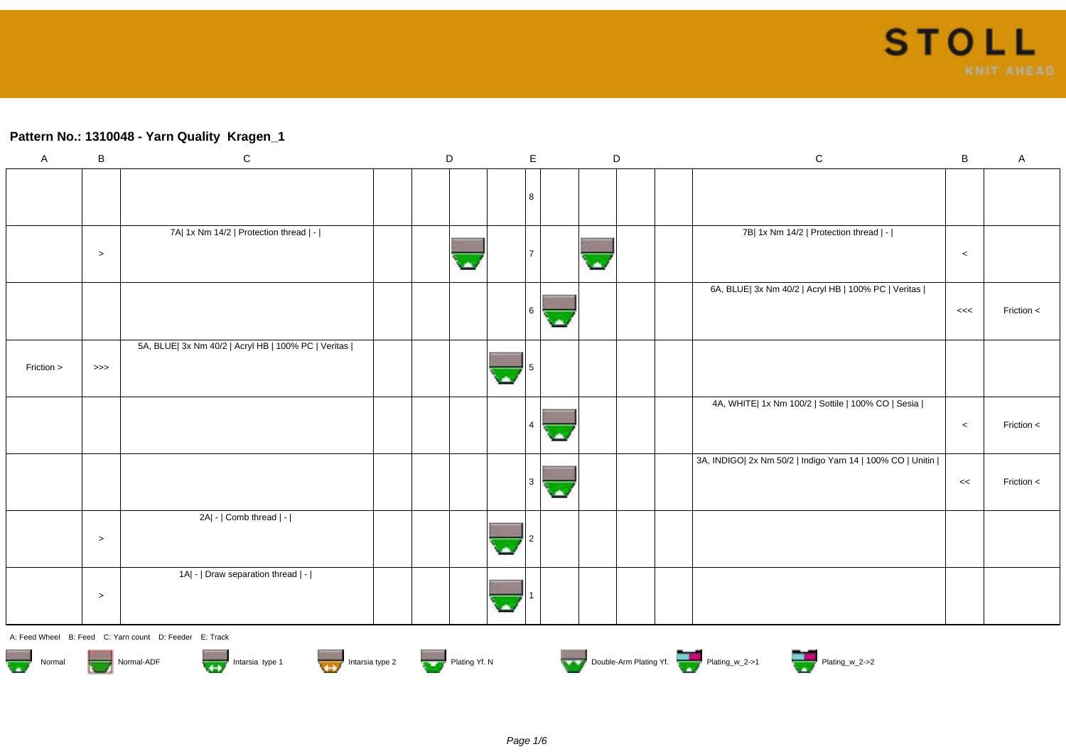# **Pattern No.: 1310048 - Yarn Quality Kragen\_1**

| $\mathsf A$         | $\, {\bf B}$ | ${\bf C}$                                              | $\mathsf D$ |               | $\mathsf E$    |    | $\mathsf D$ | ${\bf C}$                                                  | $\, {\bf B}$ | $\mathsf A$ |
|---------------------|--------------|--------------------------------------------------------|-------------|---------------|----------------|----|-------------|------------------------------------------------------------|--------------|-------------|
|                     |              |                                                        |             |               |                |    |             |                                                            |              |             |
|                     |              |                                                        |             |               | 8              |    |             |                                                            |              |             |
|                     |              | 7A  1x Nm 14/2   Protection thread   -                 |             |               |                |    |             | 7B  1x Nm 14/2   Protection thread   -                     |              |             |
|                     | $\,>$        |                                                        |             |               |                |    |             |                                                            | $\,<$        |             |
|                     |              |                                                        |             |               |                |    |             | 6A, BLUE  3x Nm 40/2   Acryl HB   100% PC   Veritas        |              |             |
|                     |              |                                                        |             |               | 6              | A  |             |                                                            | <<           | Friction <  |
|                     |              | 5A, BLUE  3x Nm 40/2   Acryl HB   100% PC   Veritas    |             |               |                |    |             |                                                            |              |             |
| Friction >          | >>>          |                                                        |             |               |                |    |             |                                                            |              |             |
|                     |              |                                                        |             |               |                |    |             | 4A, WHITE  1x Nm 100/2   Sottile   100% CO   Sesia         |              |             |
|                     |              |                                                        |             |               | $\overline{4}$ | ×  |             |                                                            | $\,<$        | Friction <  |
|                     |              |                                                        |             |               |                |    |             | 3A, INDIGO  2x Nm 50/2   Indigo Yarn 14   100% CO   Unitin |              |             |
|                     |              |                                                        |             |               | 3              | ú. |             |                                                            | <<           | Friction <  |
|                     |              | 2A  -   Comb thread   -                                |             |               |                |    |             |                                                            |              |             |
|                     | $\geq$       |                                                        |             |               |                |    |             |                                                            |              |             |
|                     |              | 1A  -   Draw separation thread   -                     |             |               |                |    |             |                                                            |              |             |
|                     | $\geq$       |                                                        |             |               |                |    |             |                                                            |              |             |
|                     |              | A: Feed Wheel B: Feed C: Yarn count D: Feeder E: Track |             |               |                |    |             |                                                            |              |             |
| e.<br>Ser<br>Normal |              | Intarsia type 2<br>Intarsia type 1<br>Normal-ADF       |             | Plating Yf. N |                |    |             | Double-Arm Plating Yf. Plating w_2->1 Plating w_2->2       |              |             |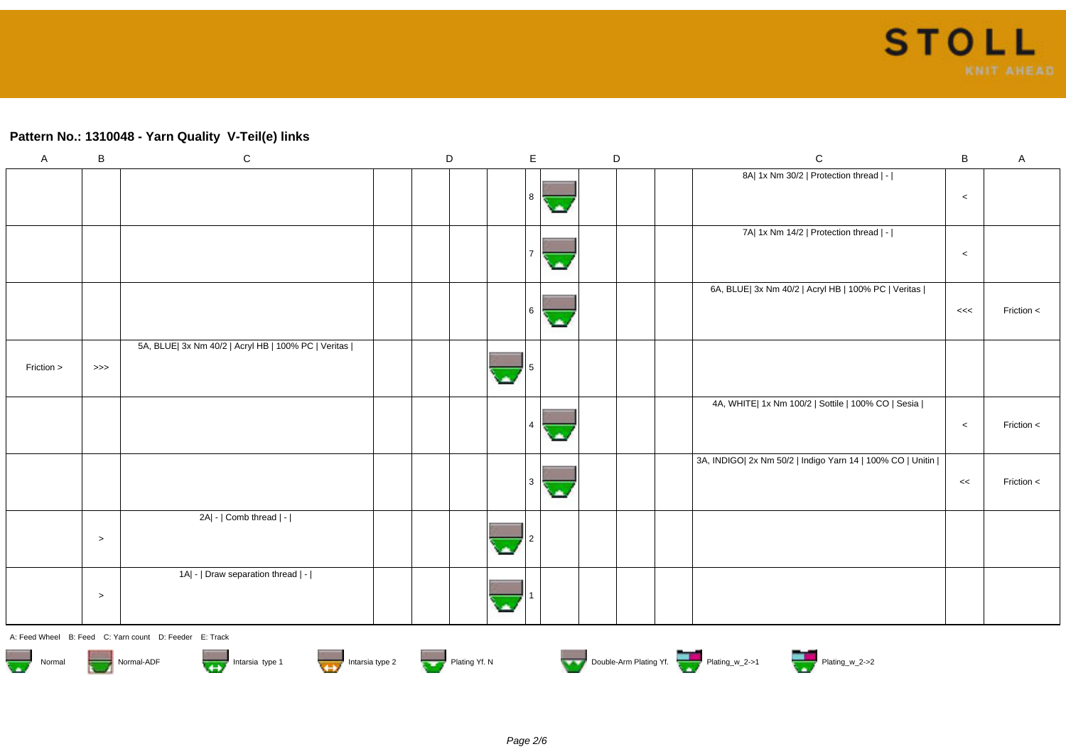### **Pattern No.: 1310048 - Yarn Quality V-Teil(e) links**

| A                                 | B         | ${\bf C}$                                                      | D             | $\mathsf E$    | D | $\mathsf{C}$                                               | $\, {\bf B}$ | $\mathsf{A}$ |
|-----------------------------------|-----------|----------------------------------------------------------------|---------------|----------------|---|------------------------------------------------------------|--------------|--------------|
|                                   |           |                                                                |               | 8              |   | 8A  1x Nm 30/2   Protection thread   -                     | $\,<\,$      |              |
|                                   |           |                                                                |               |                |   | 7A  1x Nm 14/2   Protection thread   -                     | $\,<\,$      |              |
|                                   |           |                                                                |               | 6<br>с.        |   | 6A, BLUE  3x Nm 40/2   Acryl HB   100% PC   Veritas        | <<           | Friction $<$ |
| Friction >                        | $>>>$     | 5A, BLUE  3x Nm 40/2   Acryl HB   100% PC   Veritas            |               |                |   |                                                            |              |              |
|                                   |           |                                                                |               | $\overline{4}$ |   | 4A, WHITE  1x Nm 100/2   Sottile   100% CO   Sesia         | $\,<\,$      | Friction <   |
|                                   |           |                                                                |               | 3<br>٠         |   | 3A, INDIGO  2x Nm 50/2   Indigo Yarn 14   100% CO   Unitin | $<<$         | Friction <   |
|                                   | $\, > \,$ | 2A  -   Comb thread   -                                        |               |                |   |                                                            |              |              |
|                                   | $\,>$     | 1A  -   Draw separation thread   -                             |               |                |   |                                                            |              |              |
|                                   |           | A: Feed Wheel B: Feed C: Yarn count D: Feeder E: Track         |               |                |   |                                                            |              |              |
| $\overline{\mathbf{w}}$<br>Normal |           | Intarsia type 1<br>Intarsia type 2<br>Normal-ADF<br><b>TES</b> | Plating Yf. N |                |   | Double-Arm Plating Yf.                                     |              |              |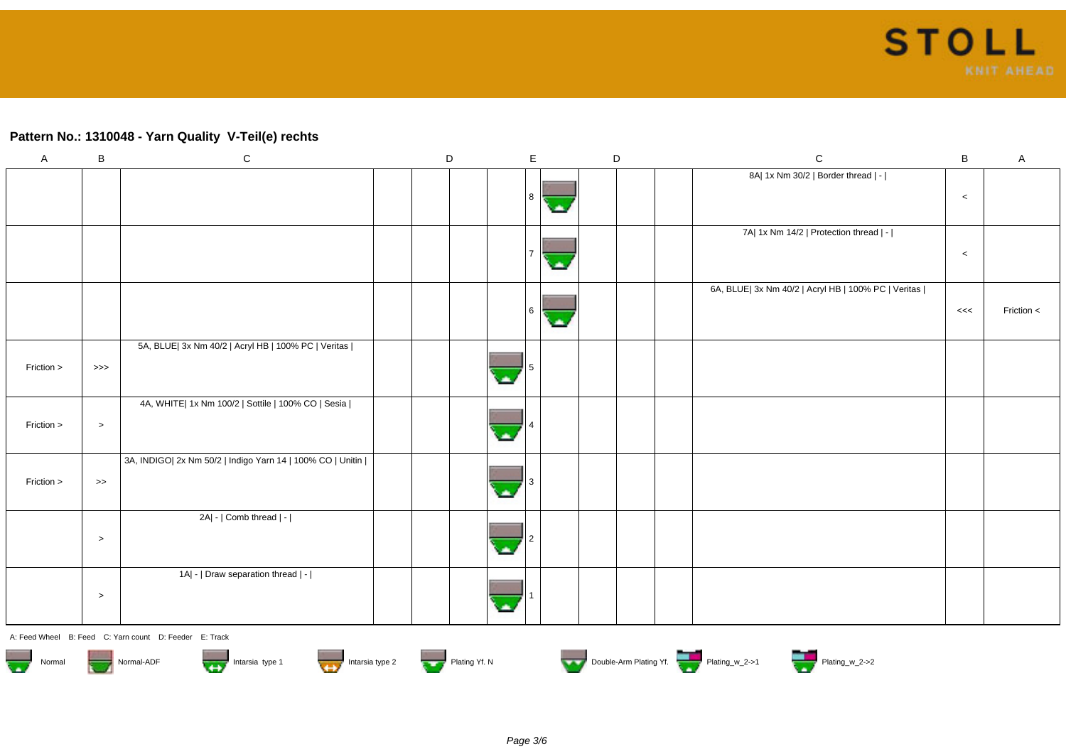#### **Pattern No.: 1310048 - Yarn Quality V-Teil(e) rechts**

| $\boldsymbol{\mathsf{A}}$ | $\, {\bf B}$      | ${\bf C}$                                                  | D |     | E | D | ${\bf C}$                                           | $\sf B$ | $\mathsf A$ |
|---------------------------|-------------------|------------------------------------------------------------|---|-----|---|---|-----------------------------------------------------|---------|-------------|
|                           |                   |                                                            |   | 8   |   |   | 8A  1x Nm 30/2   Border thread   -                  | $\,<$   |             |
|                           |                   |                                                            |   |     | ٠ |   | 7A  1x Nm 14/2   Protection thread   -              | $\,<\,$ |             |
|                           |                   |                                                            |   | l 6 |   |   | 6A, BLUE  3x Nm 40/2   Acryl HB   100% PC   Veritas | <<      | Friction <  |
| Friction >                | $>>>$             | 5A, BLUE  3x Nm 40/2   Acryl HB   100% PC   Veritas        |   |     |   |   |                                                     |         |             |
| Friction >                | $\,>$             | 4A, WHITE  1x Nm 100/2   Sottile   100% CO   Sesia         |   |     |   |   |                                                     |         |             |
| Friction >                | $\boldsymbol{>>}$ | 3A, INDIGO  2x Nm 50/2   Indigo Yarn 14   100% CO   Unitin |   |     |   |   |                                                     |         |             |
|                           | $\,>$             | 2A  -   Comb thread   -                                    |   |     |   |   |                                                     |         |             |
|                           | $\,>$             | 1A  -   Draw separation thread   -                         |   |     |   |   |                                                     |         |             |

A: Feed Wheel B: Feed C: Yarn count D: Feeder E: Track











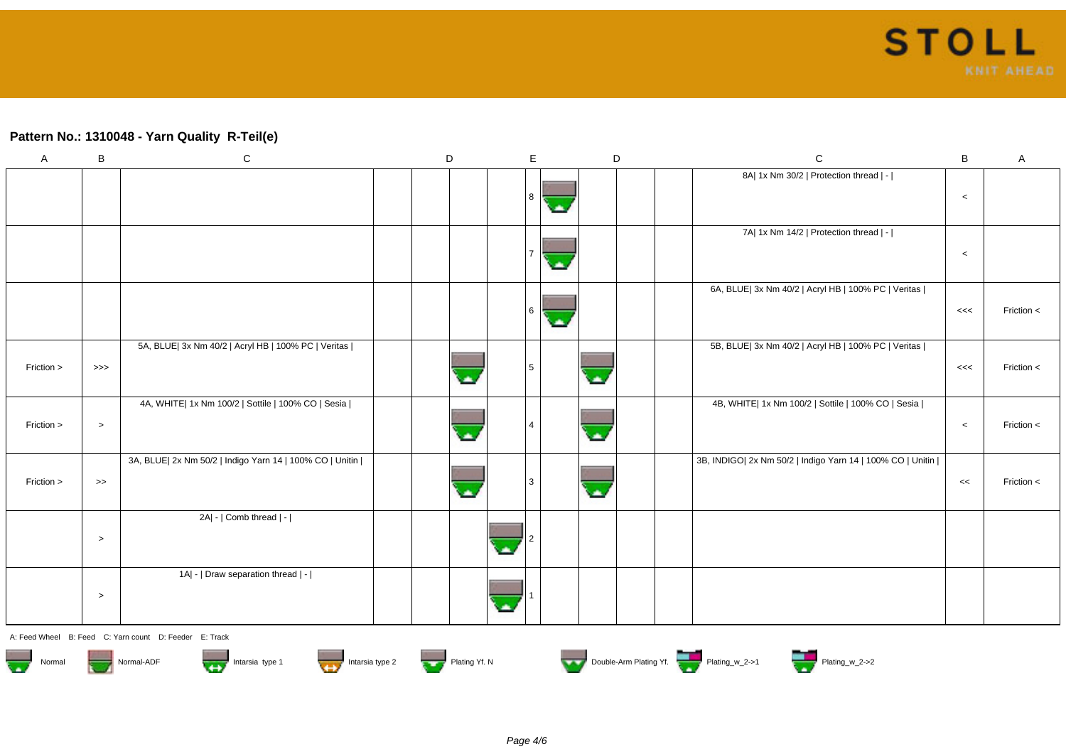#### **Pattern No.: 1310048 - Yarn Quality R-Teil(e)**

| $\mathsf{A}$ | B                 | ${\bf C}$                                                | $\mathsf D$ | $\mathsf E$ |    | D | $\mathbf C$                                                | B     | Α          |
|--------------|-------------------|----------------------------------------------------------|-------------|-------------|----|---|------------------------------------------------------------|-------|------------|
|              |                   |                                                          |             | l 8         |    |   | 8A  1x Nm 30/2   Protection thread   -                     | $\,<$ |            |
|              |                   |                                                          |             |             | ٠  |   | 7A  1x Nm 14/2   Protection thread   -                     | $\,<$ |            |
|              |                   |                                                          |             | 6           | a, |   | 6A, BLUE  3x Nm 40/2   Acryl HB   100% PC   Veritas        | <<    | Friction < |
| Friction >   | $>>>$             | 5A, BLUE  3x Nm 40/2   Acryl HB   100% PC   Veritas      |             | l 5         |    |   | 5B, BLUE  3x Nm 40/2   Acryl HB   100% PC   Veritas        | <<    | Friction < |
| Friction >   | $\,>$             | 4A, WHITE  1x Nm 100/2   Sottile   100% CO   Sesia       |             |             |    |   | 4B, WHITE  1x Nm 100/2   Sottile   100% CO   Sesia         | $\,<$ | Friction < |
| Friction >   | $\boldsymbol{>>}$ | 3A, BLUE  2x Nm 50/2   Indigo Yarn 14   100% CO   Unitin |             | l 3         |    |   | 3B, INDIGO  2x Nm 50/2   Indigo Yarn 14   100% CO   Unitin | <<    | Friction < |
|              | $\,>$             | 2A  -   Comb thread   -                                  |             |             |    |   |                                                            |       |            |
|              | $\,>$             | 1A  -   Draw separation thread   -                       |             |             |    |   |                                                            |       |            |

A: Feed Wheel B: Feed C: Yarn count D: Feeder E: Track















Page 4/6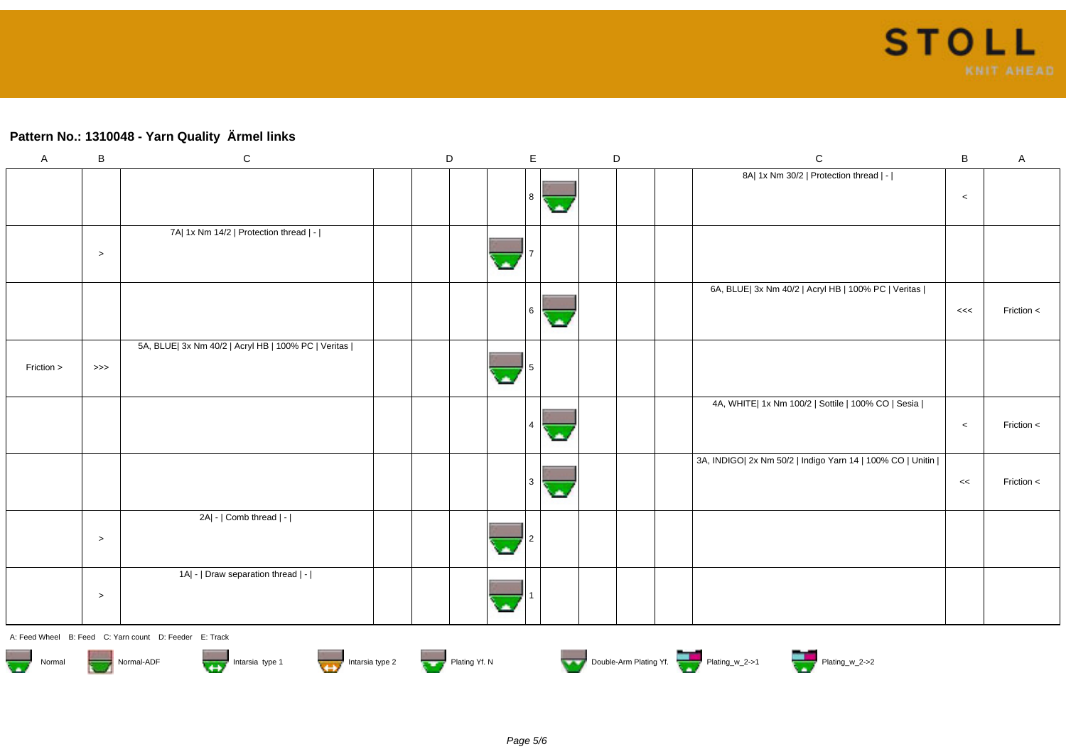## **Pattern No.: 1310048 - Yarn Quality Ärmel links**

| $\mathsf A$                       | $\, {\bf B}$ | ${\bf C}$                                              | D             | $\mathsf E$ |    | D | $\mathsf C$                                                | $\sf B$ | A            |
|-----------------------------------|--------------|--------------------------------------------------------|---------------|-------------|----|---|------------------------------------------------------------|---------|--------------|
|                                   |              |                                                        |               |             |    |   | 8A  1x Nm 30/2   Protection thread   -                     |         |              |
|                                   |              |                                                        |               | 8           | ٠  |   |                                                            | $\,<\,$ |              |
|                                   |              | 7A  1x Nm 14/2   Protection thread   -                 |               |             |    |   |                                                            |         |              |
|                                   |              |                                                        |               |             |    |   |                                                            |         |              |
|                                   | $\,>$        |                                                        |               |             |    |   |                                                            |         |              |
|                                   |              |                                                        |               |             |    |   | 6A, BLUE  3x Nm 40/2   Acryl HB   100% PC   Veritas        |         |              |
|                                   |              |                                                        |               | l 6         | o. |   |                                                            | <<      | Friction <   |
|                                   |              | 5A, BLUE  3x Nm 40/2   Acryl HB   100% PC   Veritas    |               |             |    |   |                                                            |         |              |
| Friction >                        | >>>          |                                                        |               |             |    |   |                                                            |         |              |
|                                   |              |                                                        |               |             |    |   |                                                            |         |              |
|                                   |              |                                                        |               |             |    |   | 4A, WHITE  1x Nm 100/2   Sottile   100% CO   Sesia         |         |              |
|                                   |              |                                                        |               | 4           |    |   |                                                            | $\,<$   | Friction <   |
|                                   |              |                                                        |               |             | ×. |   |                                                            |         |              |
|                                   |              |                                                        |               |             |    |   | 3A, INDIGO  2x Nm 50/2   Indigo Yarn 14   100% CO   Unitin |         |              |
|                                   |              |                                                        |               | l 3         | o. |   |                                                            | <<      | Friction $<$ |
|                                   |              | 2A  -   Comb thread   -                                |               |             |    |   |                                                            |         |              |
|                                   | $\geq$       |                                                        |               |             |    |   |                                                            |         |              |
|                                   |              |                                                        |               |             |    |   |                                                            |         |              |
|                                   |              | 1A  -   Draw separation thread   -                     |               |             |    |   |                                                            |         |              |
|                                   | $\,>$        |                                                        |               |             |    |   |                                                            |         |              |
|                                   |              |                                                        |               |             |    |   |                                                            |         |              |
|                                   |              | A: Feed Wheel B: Feed C: Yarn count D: Feeder E: Track |               |             |    |   |                                                            |         |              |
| $\overline{\mathbf{w}}$<br>Normal |              | Intarsia type 2<br>Intarsia type 1<br>Normal-ADF       | Plating Yf. N |             |    |   | Double-Arm Plating Yf.                                     |         |              |